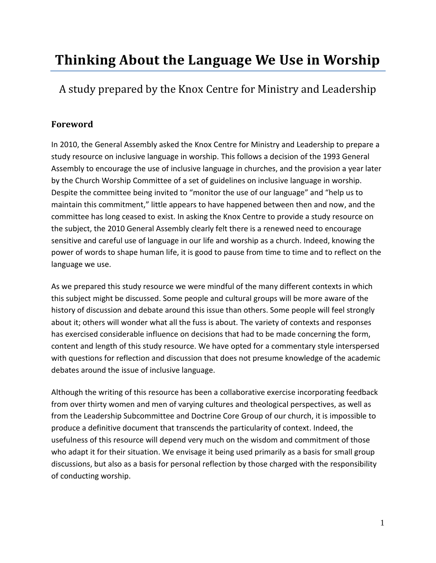# **Thinking About the Language We Use in Worship**

A study prepared by the Knox Centre for Ministry and Leadership

# **Foreword**

In 2010, the General Assembly asked the Knox Centre for Ministry and Leadership to prepare a study resource on inclusive language in worship. This follows a decision of the 1993 General Assembly to encourage the use of inclusive language in churches, and the provision a year later by the Church Worship Committee of a set of guidelines on inclusive language in worship. Despite the committee being invited to "monitor the use of our language" and "help us to maintain this commitment," little appears to have happened between then and now, and the committee has long ceased to exist. In asking the Knox Centre to provide a study resource on the subject, the 2010 General Assembly clearly felt there is a renewed need to encourage sensitive and careful use of language in our life and worship as a church. Indeed, knowing the power of words to shape human life, it is good to pause from time to time and to reflect on the language we use.

As we prepared this study resource we were mindful of the many different contexts in which this subject might be discussed. Some people and cultural groups will be more aware of the history of discussion and debate around this issue than others. Some people will feel strongly about it; others will wonder what all the fuss is about. The variety of contexts and responses has exercised considerable influence on decisions that had to be made concerning the form, content and length of this study resource. We have opted for a commentary style interspersed with questions for reflection and discussion that does not presume knowledge of the academic debates around the issue of inclusive language.

Although the writing of this resource has been a collaborative exercise incorporating feedback from over thirty women and men of varying cultures and theological perspectives, as well as from the Leadership Subcommittee and Doctrine Core Group of our church, it is impossible to produce a definitive document that transcends the particularity of context. Indeed, the usefulness of this resource will depend very much on the wisdom and commitment of those who adapt it for their situation. We envisage it being used primarily as a basis for small group discussions, but also as a basis for personal reflection by those charged with the responsibility of conducting worship.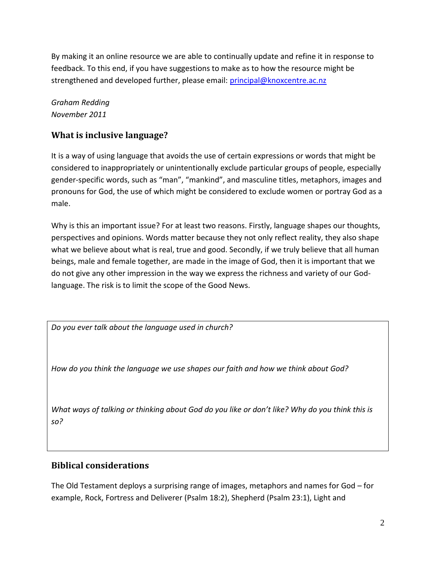By making it an online resource we are able to continually update and refine it in response to feedback. To this end, if you have suggestions to make as to how the resource might be strengthened and developed further, please email: [principal@knoxcentre.ac.nz](mailto:principal@knoxcentre.ac.nz)

*Graham Redding November 2011*

# **What is inclusive language?**

It is a way of using language that avoids the use of certain expressions or words that might be considered to inappropriately or unintentionally exclude particular groups of people, especially gender-specific words, such as "man", "mankind", and masculine titles, metaphors, images and pronouns for God, the use of which might be considered to exclude women or portray God as a male.

Why is this an important issue? For at least two reasons. Firstly, language shapes our thoughts, perspectives and opinions. Words matter because they not only reflect reality, they also shape what we believe about what is real, true and good. Secondly, if we truly believe that all human beings, male and female together, are made in the image of God, then it is important that we do not give any other impression in the way we express the richness and variety of our Godlanguage. The risk is to limit the scope of the Good News.

*Do you ever talk about the language used in church?*

*How do you think the language we use shapes our faith and how we think about God?*

*What ways of talking or thinking about God do you like or don't like? Why do you think this is so?*

# **Biblical considerations**

The Old Testament deploys a surprising range of images, metaphors and names for God – for example, Rock, Fortress and Deliverer (Psalm 18:2), Shepherd (Psalm 23:1), Light and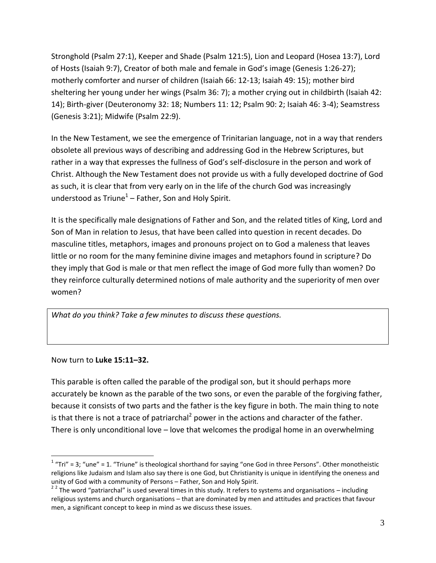Stronghold (Psalm 27:1), Keeper and Shade (Psalm 121:5), Lion and Leopard (Hosea 13:7), Lord of Hosts (Isaiah 9:7), Creator of both male and female in God's image (Genesis 1:26-27); motherly comforter and nurser of children (Isaiah 66: 12-13; Isaiah 49: 15); mother bird sheltering her young under her wings (Psalm 36: 7); a mother crying out in childbirth (Isaiah 42: 14); Birth-giver (Deuteronomy 32: 18; Numbers 11: 12; Psalm 90: 2; Isaiah 46: 3-4); Seamstress (Genesis 3:21); Midwife (Psalm 22:9).

In the New Testament, we see the emergence of Trinitarian language, not in a way that renders obsolete all previous ways of describing and addressing God in the Hebrew Scriptures, but rather in a way that expresses the fullness of God's self-disclosure in the person and work of Christ. Although the New Testament does not provide us with a fully developed doctrine of God as such, it is clear that from very early on in the life of the church God was increasingly understood as Triune $^1$  – Father, Son and Holy Spirit.

It is the specifically male designations of Father and Son, and the related titles of King, Lord and Son of Man in relation to Jesus, that have been called into question in recent decades. Do masculine titles, metaphors, images and pronouns project on to God a maleness that leaves little or no room for the many feminine divine images and metaphors found in scripture? Do they imply that God is male or that men reflect the image of God more fully than women? Do they reinforce culturally determined notions of male authority and the superiority of men over women?

*What do you think? Take a few minutes to discuss these questions.*

Now turn to **Luke 15:11–32.**

 $\overline{a}$ 

This parable is often called the parable of the prodigal son, but it should perhaps more accurately be known as the parable of the two sons, or even the parable of the forgiving father, because it consists of two parts and the father is the key figure in both. The main thing to note is that there is not a trace of patriarchal<sup>2</sup> power in the actions and character of the father. There is only unconditional love – love that welcomes the prodigal home in an overwhelming

 $1$  "Tri" = 3; "une" = 1. "Triune" is theological shorthand for saying "one God in three Persons". Other monotheistic religions like Judaism and Islam also say there is one God, but Christianity is unique in identifying the oneness and unity of God with a community of Persons – Father, Son and Holy Spirit.

<sup>&</sup>lt;sup>2 2</sup> The word "patriarchal" is used several times in this study. It refers to systems and organisations – including religious systems and church organisations – that are dominated by men and attitudes and practices that favour men, a significant concept to keep in mind as we discuss these issues.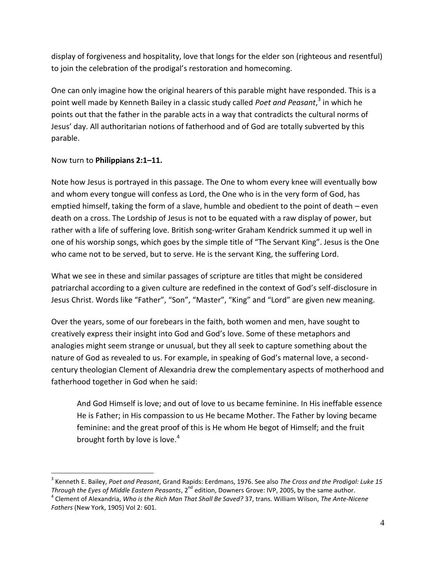display of forgiveness and hospitality, love that longs for the elder son (righteous and resentful) to join the celebration of the prodigal's restoration and homecoming.

One can only imagine how the original hearers of this parable might have responded. This is a point well made by Kenneth Bailey in a classic study called *Poet and Peasant*, 3 in which he points out that the father in the parable acts in a way that contradicts the cultural norms of Jesus' day. All authoritarian notions of fatherhood and of God are totally subverted by this parable.

### Now turn to **Philippians 2:1–11.**

 $\overline{a}$ 

Note how Jesus is portrayed in this passage. The One to whom every knee will eventually bow and whom every tongue will confess as Lord, the One who is in the very form of God, has emptied himself, taking the form of a slave, humble and obedient to the point of death – even death on a cross. The Lordship of Jesus is not to be equated with a raw display of power, but rather with a life of suffering love. British song-writer Graham Kendrick summed it up well in one of his worship songs, which goes by the simple title of "The Servant King". Jesus is the One who came not to be served, but to serve. He is the servant King, the suffering Lord.

What we see in these and similar passages of scripture are titles that might be considered patriarchal according to a given culture are redefined in the context of God's self-disclosure in Jesus Christ. Words like "Father", "Son", "Master", "King" and "Lord" are given new meaning.

Over the years, some of our forebears in the faith, both women and men, have sought to creatively express their insight into God and God's love. Some of these metaphors and analogies might seem strange or unusual, but they all seek to capture something about the nature of God as revealed to us. For example, in speaking of God's maternal love, a secondcentury theologian Clement of Alexandria drew the complementary aspects of motherhood and fatherhood together in God when he said:

And God Himself is love; and out of love to us became feminine. In His ineffable essence He is Father; in His compassion to us He became Mother. The Father by loving became feminine: and the great proof of this is He whom He begot of Himself; and the fruit brought forth by love is love.<sup>4</sup>

<sup>3</sup> Kenneth E. Bailey, *Poet and Peasant*, Grand Rapids: Eerdmans, 1976. See also *The Cross and the Prodigal: Luke 15 Through the Eyes of Middle Eastern Peasants*, 2<sup>nd</sup> edition, Downers Grove: IVP, 2005, by the same author.

<sup>4</sup> Clement of Alexandria, *Who is the Rich Man That Shall Be Saved?* 37, trans. William Wilson, *The Ante-Nicene Fathers* (New York, 1905) Vol 2: 601.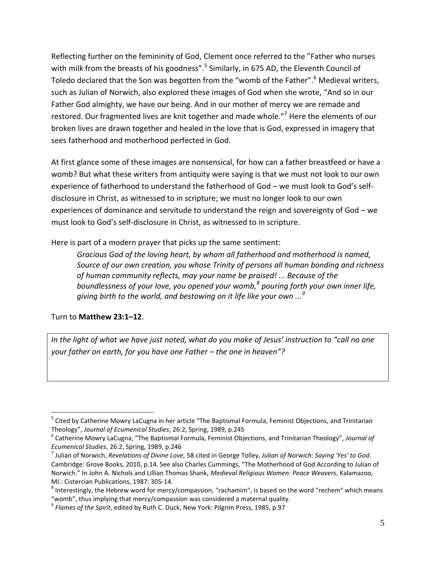Reflecting further on the femininity of God, Clement once referred to the "Father who nurses with milk from the breasts of his goodness".<sup>5</sup> Similarly, in 675 AD, the Eleventh Council of Toledo declared that the Son was begotten from the "womb of the Father".<sup>6</sup> Medieval writers, such as Julian of Norwich, also explored these images of God when she wrote, "And so in our Father God almighty, we have our being. And in our mother of mercy we are remade and restored. Our fragmented lives are knit together and made whole."<sup>7</sup> Here the elements of our broken lives are drawn together and healed in the love that is God, expressed in imagery that sees fatherhood and motherhood perfected in God.

At first glance some of these images are nonsensical, for how can a father breastfeed or have a womb? But what these writers from antiquity were saying is that we must not look to our own experience of fatherhood to understand the fatherhood of God – we must look to God's selfdisclosure in Christ, as witnessed to in scripture; we must no longer look to our own experiences of dominance and servitude to understand the reign and sovereignty of God – we must look to God's self-disclosure in Christ, as witnessed to in scripture.

Here is part of a modern prayer that picks up the same sentiment:

*Gracious God of the loving heart, by whom all fatherhood and motherhood is named, Source of our own creation, you whose Trinity of persons all human bonding and richness of human community reflects, may your name be praised! ... Because of the boundlessness of your love, you opened your womb,<sup>8</sup> pouring forth your own inner life, giving birth to the world, and bestowing on it life like your own ...<sup>9</sup>*

## Turn to **Matthew 23:1–12**.

 $\overline{a}$ 

*In the light of what we have just noted, what do you make of Jesus' instruction to "call no one your father on earth, for you have one Father – the one in heaven"?*

<sup>&</sup>lt;sup>5</sup> Cited by Catherine Mowry LaCugna in her article "The Baptismal Formula, Feminist Objections, and Trinitarian Theology", *Journal of Ecumenical Studies*, 26:2, Spring, 1989, p.245

<sup>6</sup> Catherine Mowry LaCugna, "The Baptismal Formula, Feminist Objections, and Trinitarian Theology", *Journal of Ecumenical Studies*, 26:2, Spring, 1989, p.246

<sup>7</sup> Julian of Norwich, *Revelations of Divine Love,* 58 cited in George Tolley, *Julian of Norwich: Saying 'Yes' to God*. Cambridge: Grove Books, 2010, p.14. See also Charles Cummings, "The Motherhood of God According to Julian of Norwich." In John A. Nichols and Lillian Thomas Shank, *Medieval Religious Women: Peace Weavers*, Kalamazoo, MI.: Cistercian Publications, 1987: 305-14.

 $^8$  Interestingly, the Hebrew word for mercy/compassion, "rachamim", is based on the word "rechem" which means "womb", thus implying that mercy/compassion was considered a maternal quality.

<sup>9</sup> *Flames of the Spirit*, edited by Ruth C. Duck, New York: Pilgrim Press, 1985, p.97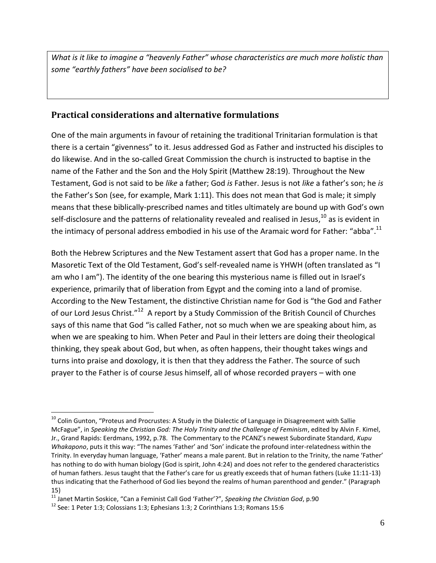*What is it like to imagine a "heavenly Father" whose characteristics are much more holistic than some "earthly fathers" have been socialised to be?*

# **Practical considerations and alternative formulations**

One of the main arguments in favour of retaining the traditional Trinitarian formulation is that there is a certain "givenness" to it. Jesus addressed God as Father and instructed his disciples to do likewise. And in the so-called Great Commission the church is instructed to baptise in the name of the Father and the Son and the Holy Spirit (Matthew 28:19). Throughout the New Testament, God is not said to be *like* a father; God *is* Father. Jesus is not *like* a father's son; he *is* the Father's Son (see, for example, Mark 1:11). This does not mean that God is male; it simply means that these biblically-prescribed names and titles ultimately are bound up with God's own self-disclosure and the patterns of relationality revealed and realised in Jesus,<sup>10</sup> as is evident in the intimacy of personal address embodied in his use of the Aramaic word for Father: "abba".<sup>11</sup>

Both the Hebrew Scriptures and the New Testament assert that God has a proper name. In the Masoretic Text of the Old Testament, God's self-revealed name is YHWH (often translated as "I am who I am"). The identity of the one bearing this mysterious name is filled out in Israel's experience, primarily that of liberation from Egypt and the coming into a land of promise. According to the New Testament, the distinctive Christian name for God is "the God and Father of our Lord Jesus Christ."<sup>12</sup> A report by a Study Commission of the British Council of Churches says of this name that God "is called Father, not so much when we are speaking about him, as when we are speaking to him. When Peter and Paul in their letters are doing their theological thinking, they speak about God, but when, as often happens, their thought takes wings and turns into praise and doxology, it is then that they address the Father. The source of such prayer to the Father is of course Jesus himself, all of whose recorded prayers – with one

<sup>&</sup>lt;sup>10</sup> Colin Gunton, "Proteus and Procrustes: A Study in the Dialectic of Language in Disagreement with Sallie McFague", in *Speaking the Christian God: The Holy Trinity and the Challenge of Feminism*, edited by Alvin F. Kimel, Jr., Grand Rapids: Eerdmans, 1992, p.78. The Commentary to the PCANZ's newest Subordinate Standard, *Kupu Whakapono*, puts it this way: "The names 'Father' and 'Son' indicate the profound inter-relatedness within the Trinity. In everyday human language, 'Father' means a male parent. But in relation to the Trinity, the name 'Father' has nothing to do with human biology (God is spirit, John 4:24) and does not refer to the gendered characteristics of human fathers. Jesus taught that the Father's care for us greatly exceeds that of human fathers (Luke 11:11-13) thus indicating that the Fatherhood of God lies beyond the realms of human parenthood and gender." (Paragraph 15)

<sup>11</sup> Janet Martin Soskice, "Can a Feminist Call God 'Father'?", *Speaking the Christian God*, p.90

 $12$  See: 1 Peter 1:3; Colossians 1:3; Ephesians 1:3; 2 Corinthians 1:3; Romans 15:6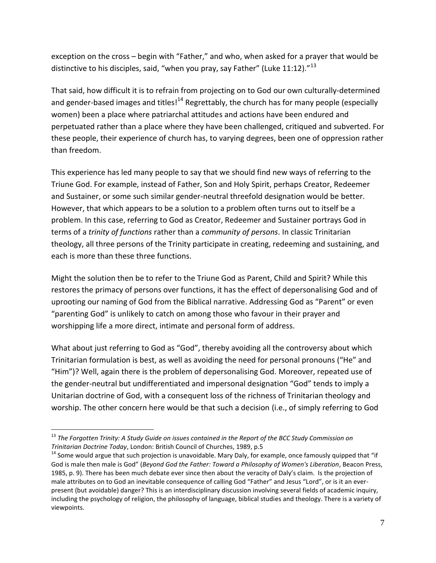exception on the cross – begin with "Father," and who, when asked for a prayer that would be distinctive to his disciples, said, "when you pray, say Father" (Luke 11:12)."<sup>13</sup>

That said, how difficult it is to refrain from projecting on to God our own culturally-determined and gender-based images and titles!<sup>14</sup> Regrettably, the church has for many people (especially women) been a place where patriarchal attitudes and actions have been endured and perpetuated rather than a place where they have been challenged, critiqued and subverted. For these people, their experience of church has, to varying degrees, been one of oppression rather than freedom.

This experience has led many people to say that we should find new ways of referring to the Triune God. For example, instead of Father, Son and Holy Spirit, perhaps Creator, Redeemer and Sustainer, or some such similar gender-neutral threefold designation would be better. However, that which appears to be a solution to a problem often turns out to itself be a problem. In this case, referring to God as Creator, Redeemer and Sustainer portrays God in terms of a *trinity of functions* rather than a *community of persons*. In classic Trinitarian theology, all three persons of the Trinity participate in creating, redeeming and sustaining, and each is more than these three functions.

Might the solution then be to refer to the Triune God as Parent, Child and Spirit? While this restores the primacy of persons over functions, it has the effect of depersonalising God and of uprooting our naming of God from the Biblical narrative. Addressing God as "Parent" or even "parenting God" is unlikely to catch on among those who favour in their prayer and worshipping life a more direct, intimate and personal form of address.

What about just referring to God as "God", thereby avoiding all the controversy about which Trinitarian formulation is best, as well as avoiding the need for personal pronouns ("He" and "Him")? Well, again there is the problem of depersonalising God. Moreover, repeated use of the gender-neutral but undifferentiated and impersonal designation "God" tends to imply a Unitarian doctrine of God, with a consequent loss of the richness of Trinitarian theology and worship. The other concern here would be that such a decision (i.e., of simply referring to God

<sup>&</sup>lt;sup>13</sup> The Forgotten Trinity: A Study Guide on issues contained in the Report of the BCC Study Commission on *Trinitarian Doctrine Today*, London: British Council of Churches, 1989, p.5

<sup>&</sup>lt;sup>14</sup> Some would argue that such projection is unavoidable. Mary Daly, for example, once famously quipped that "if God is male then male is God" (*Beyond God the Father: Toward a Philosophy of Women's Liberation*, Beacon Press, 1985, p. 9). There has been much debate ever since then about the veracity of Daly's claim. Is the projection of male attributes on to God an inevitable consequence of calling God "Father" and Jesus "Lord", or is it an everpresent (but avoidable) danger? This is an interdisciplinary discussion involving several fields of academic inquiry, including the psychology of religion, the philosophy of language, biblical studies and theology. There is a variety of viewpoints.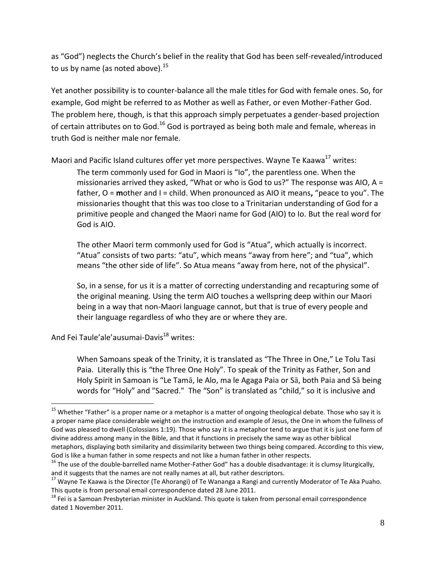as "God") neglects the Church's belief in the reality that God has been self-revealed/introduced to us by name (as noted above).<sup>15</sup>

Yet another possibility is to counter-balance all the male titles for God with female ones. So, for example, God might be referred to as Mother as well as Father, or even Mother-Father God. The problem here, though, is that this approach simply perpetuates a gender-based projection of certain attributes on to God.<sup>16</sup> God is portrayed as being both male and female, whereas in truth God is neither male nor female.

Maori and Pacific Island cultures offer yet more perspectives. Wayne Te Kaawa<sup>17</sup> writes:

The term commonly used for God in Maori is "Io", the parentless one. When the missionaries arrived they asked, "What or who is God to us?" The response was AIO,  $A =$ father, O = **m**other and I = child. When pronounced as AIO it means**,** "peace to you". The missionaries thought that this was too close to a Trinitarian understanding of God for a primitive people and changed the Maori name for God (AIO) to Io. But the real word for God is AIO.

The other Maori term commonly used for God is "Atua", which actually is incorrect. "Atua" consists of two parts: "atu", which means "away from here"; and "tua", which means "the other side of life". So Atua means "away from here, not of the physical".

So, in a sense, for us it is a matter of correcting understanding and recapturing some of the original meaning. Using the term AIO touches a wellspring deep within our Maori being in a way that non-Maori language cannot, but that is true of every people and their language regardless of who they are or where they are.

And Fei Taule'ale'ausumai-Davis<sup>18</sup> writes:

 $\overline{a}$ 

When Samoans speak of the Trinity, it is translated as "The Three in One," Le Tolu Tasi Paia. Literally this is "the Three One Holy". To speak of the Trinity as Father, Son and Holy Spirit in Samoan is "Le Tamā, le Alo, ma le Agaga Paia or Sā, both Paia and Sā being words for "Holy" and "Sacred." The "Son" is translated as "child," so it is inclusive and

<sup>&</sup>lt;sup>15</sup> Whether "Father" is a proper name or a metaphor is a matter of ongoing theological debate. Those who say it is a proper name place considerable weight on the instruction and example of Jesus, the One in whom the fullness of God was pleased to dwell (Colossians 1:19). Those who say it is a metaphor tend to argue that it is just one form of divine address among many in the Bible, and that it functions in precisely the same way as other biblical metaphors, displaying both similarity and dissimilarity between two things being compared. According to this view, God is like a human father in some respects and not like a human father in other respects.

 $16$  The use of the double-barrelled name Mother-Father God" has a double disadvantage: it is clumsy liturgically, and it suggests that the names are not really names at all, but rather descriptors.

<sup>&</sup>lt;sup>17</sup> Wayne Te Kaawa is the Director (Te Ahorangi) of Te Wananga a Rangi and currently Moderator of Te Aka Puaho. This quote is from personal email correspondence dated 28 June 2011.

<sup>&</sup>lt;sup>18</sup> Fei is a Samoan Presbyterian minister in Auckland. This quote is taken from personal email correspondence dated 1 November 2011.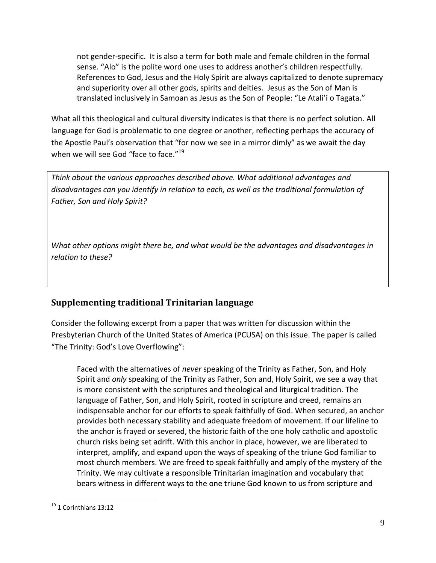not gender-specific. It is also a term for both male and female children in the formal sense. "Alo" is the polite word one uses to address another's children respectfully. References to God, Jesus and the Holy Spirit are always capitalized to denote supremacy and superiority over all other gods, spirits and deities. Jesus as the Son of Man is translated inclusively in Samoan as Jesus as the Son of People: "Le Atali'i o Tagata."

What all this theological and cultural diversity indicates is that there is no perfect solution. All language for God is problematic to one degree or another, reflecting perhaps the accuracy of the Apostle Paul's observation that "for now we see in a mirror dimly" as we await the day when we will see God "face to face."<sup>19</sup>

*Think about the various approaches described above. What additional advantages and disadvantages can you identify in relation to each, as well as the traditional formulation of Father, Son and Holy Spirit?*

*What other options might there be, and what would be the advantages and disadvantages in relation to these?*

# **Supplementing traditional Trinitarian language**

Consider the following excerpt from a paper that was written for discussion within the Presbyterian Church of the United States of America (PCUSA) on this issue. The paper is called "The Trinity: God's Love Overflowing":

Faced with the alternatives of *never* speaking of the Trinity as Father, Son, and Holy Spirit and *only* speaking of the Trinity as Father, Son and, Holy Spirit, we see a way that is more consistent with the scriptures and theological and liturgical tradition. The language of Father, Son, and Holy Spirit, rooted in scripture and creed, remains an indispensable anchor for our efforts to speak faithfully of God. When secured, an anchor provides both necessary stability and adequate freedom of movement. If our lifeline to the anchor is frayed or severed, the historic faith of the one holy catholic and apostolic church risks being set adrift. With this anchor in place, however, we are liberated to interpret, amplify, and expand upon the ways of speaking of the triune God familiar to most church members. We are freed to speak faithfully and amply of the mystery of the Trinity. We may cultivate a responsible Trinitarian imagination and vocabulary that bears witness in different ways to the one triune God known to us from scripture and

<sup>&</sup>lt;sup>19</sup> 1 Corinthians 13:12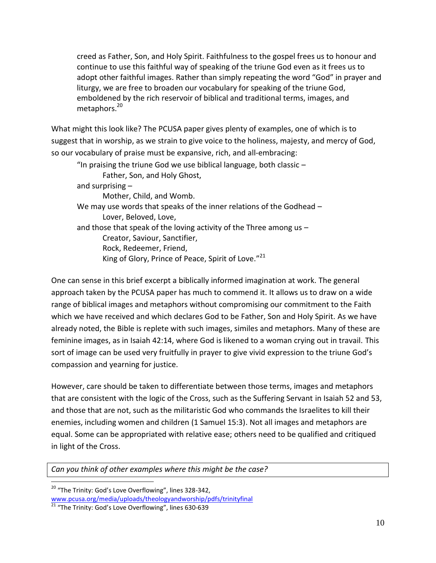creed as Father, Son, and Holy Spirit. Faithfulness to the gospel frees us to honour and continue to use this faithful way of speaking of the triune God even as it frees us to adopt other faithful images. Rather than simply repeating the word "God" in prayer and liturgy, we are free to broaden our vocabulary for speaking of the triune God, emboldened by the rich reservoir of biblical and traditional terms, images, and metaphors.<sup>20</sup>

What might this look like? The PCUSA paper gives plenty of examples, one of which is to suggest that in worship, as we strain to give voice to the holiness, majesty, and mercy of God, so our vocabulary of praise must be expansive, rich, and all-embracing:

| "In praising the triune God we use biblical language, both classic $-$ |
|------------------------------------------------------------------------|
| Father, Son, and Holy Ghost,                                           |
| and surprising $-$                                                     |
| Mother, Child, and Womb.                                               |
| We may use words that speaks of the inner relations of the Godhead -   |
| Lover, Beloved, Love,                                                  |
| and those that speak of the loving activity of the Three among us $-$  |
| Creator, Saviour, Sanctifier,                                          |
| Rock, Redeemer, Friend,                                                |
| King of Glory, Prince of Peace, Spirit of Love."21                     |

One can sense in this brief excerpt a biblically informed imagination at work. The general approach taken by the PCUSA paper has much to commend it. It allows us to draw on a wide range of biblical images and metaphors without compromising our commitment to the Faith which we have received and which declares God to be Father, Son and Holy Spirit. As we have already noted, the Bible is replete with such images, similes and metaphors. Many of these are feminine images, as in Isaiah 42:14, where God is likened to a woman crying out in travail. This sort of image can be used very fruitfully in prayer to give vivid expression to the triune God's compassion and yearning for justice.

However, care should be taken to differentiate between those terms, images and metaphors that are consistent with the logic of the Cross, such as the Suffering Servant in Isaiah 52 and 53, and those that are not, such as the militaristic God who commands the Israelites to kill their enemies, including women and children (1 Samuel 15:3). Not all images and metaphors are equal. Some can be appropriated with relative ease; others need to be qualified and critiqued in light of the Cross.

*Can you think of other examples where this might be the case?*

 <sup>20</sup> "The Trinity: God's Love Overflowing", lines 328-342, [www.pcusa.org/media/uploads/theologyandworship/pdfs/trinityfinal](http://www.pcusa.org/media/uploads/theologyandworship/pdfs/trinityfinal)

<sup>&</sup>lt;sup>21</sup> "The Trinity: God's Love Overflowing", lines 630-639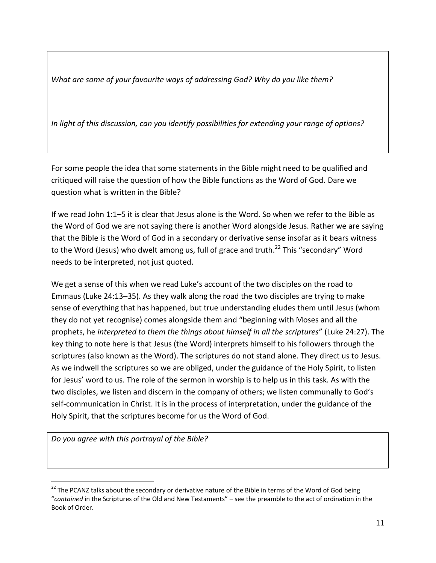*What are some of your favourite ways of addressing God? Why do you like them?* 

*In light of this discussion, can you identify possibilities for extending your range of options?*

For some people the idea that some statements in the Bible might need to be qualified and critiqued will raise the question of how the Bible functions as the Word of God. Dare we question what is written in the Bible?

If we read John 1:1–5 it is clear that Jesus alone is the Word. So when we refer to the Bible as the Word of God we are not saying there is another Word alongside Jesus. Rather we are saying that the Bible is the Word of God in a secondary or derivative sense insofar as it bears witness to the Word (Jesus) who dwelt among us, full of grace and truth.<sup>22</sup> This "secondary" Word needs to be interpreted, not just quoted.

We get a sense of this when we read Luke's account of the two disciples on the road to Emmaus (Luke 24:13–35). As they walk along the road the two disciples are trying to make sense of everything that has happened, but true understanding eludes them until Jesus (whom they do not yet recognise) comes alongside them and "beginning with Moses and all the prophets, he *interpreted to them the things about himself in all the scriptures*" (Luke 24:27). The key thing to note here is that Jesus (the Word) interprets himself to his followers through the scriptures (also known as the Word). The scriptures do not stand alone. They direct us to Jesus. As we indwell the scriptures so we are obliged, under the guidance of the Holy Spirit, to listen for Jesus' word to us. The role of the sermon in worship is to help us in this task. As with the two disciples, we listen and discern in the company of others; we listen communally to God's self-communication in Christ. It is in the process of interpretation, under the guidance of the Holy Spirit, that the scriptures become for us the Word of God.

*Do you agree with this portrayal of the Bible?* 

 $22$  The PCANZ talks about the secondary or derivative nature of the Bible in terms of the Word of God being "*contained* in the Scriptures of the Old and New Testaments" – see the preamble to the act of ordination in the Book of Order.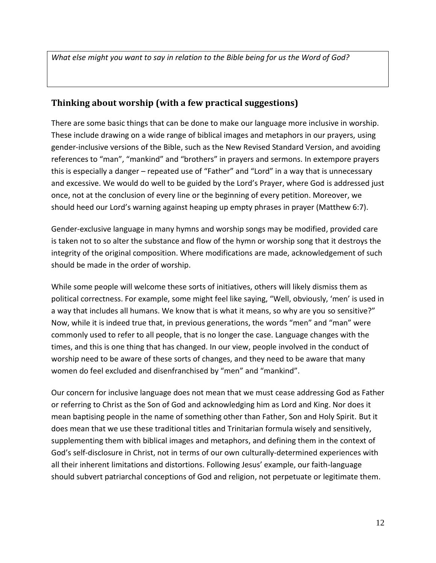*What else might you want to say in relation to the Bible being for us the Word of God?*

## **Thinking about worship (with a few practical suggestions)**

There are some basic things that can be done to make our language more inclusive in worship. These include drawing on a wide range of biblical images and metaphors in our prayers, using gender-inclusive versions of the Bible, such as the New Revised Standard Version, and avoiding references to "man", "mankind" and "brothers" in prayers and sermons. In extempore prayers this is especially a danger – repeated use of "Father" and "Lord" in a way that is unnecessary and excessive. We would do well to be guided by the Lord's Prayer, where God is addressed just once, not at the conclusion of every line or the beginning of every petition. Moreover, we should heed our Lord's warning against heaping up empty phrases in prayer (Matthew 6:7).

Gender-exclusive language in many hymns and worship songs may be modified, provided care is taken not to so alter the substance and flow of the hymn or worship song that it destroys the integrity of the original composition. Where modifications are made, acknowledgement of such should be made in the order of worship.

While some people will welcome these sorts of initiatives, others will likely dismiss them as political correctness. For example, some might feel like saying, "Well, obviously, 'men' is used in a way that includes all humans. We know that is what it means, so why are you so sensitive?" Now, while it is indeed true that, in previous generations, the words "men" and "man" were commonly used to refer to all people, that is no longer the case. Language changes with the times, and this is one thing that has changed. In our view, people involved in the conduct of worship need to be aware of these sorts of changes, and they need to be aware that many women do feel excluded and disenfranchised by "men" and "mankind".

Our concern for inclusive language does not mean that we must cease addressing God as Father or referring to Christ as the Son of God and acknowledging him as Lord and King. Nor does it mean baptising people in the name of something other than Father, Son and Holy Spirit. But it does mean that we use these traditional titles and Trinitarian formula wisely and sensitively, supplementing them with biblical images and metaphors, and defining them in the context of God's self-disclosure in Christ, not in terms of our own culturally-determined experiences with all their inherent limitations and distortions. Following Jesus' example, our faith-language should subvert patriarchal conceptions of God and religion, not perpetuate or legitimate them.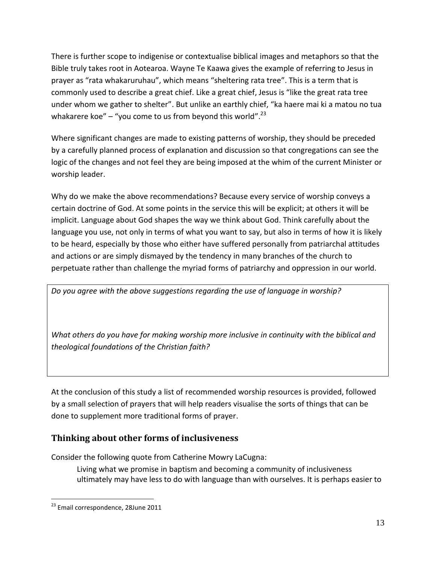There is further scope to indigenise or contextualise biblical images and metaphors so that the Bible truly takes root in Aotearoa. Wayne Te Kaawa gives the example of referring to Jesus in prayer as "rata whakaruruhau", which means "sheltering rata tree". This is a term that is commonly used to describe a great chief. Like a great chief, Jesus is "like the great rata tree under whom we gather to shelter". But unlike an earthly chief, "ka haere mai ki a matou no tua whakarere koe" – "you come to us from beyond this world".<sup>23</sup>

Where significant changes are made to existing patterns of worship, they should be preceded by a carefully planned process of explanation and discussion so that congregations can see the logic of the changes and not feel they are being imposed at the whim of the current Minister or worship leader.

Why do we make the above recommendations? Because every service of worship conveys a certain doctrine of God. At some points in the service this will be explicit; at others it will be implicit. Language about God shapes the way we think about God. Think carefully about the language you use, not only in terms of what you want to say, but also in terms of how it is likely to be heard, especially by those who either have suffered personally from patriarchal attitudes and actions or are simply dismayed by the tendency in many branches of the church to perpetuate rather than challenge the myriad forms of patriarchy and oppression in our world.

*Do you agree with the above suggestions regarding the use of language in worship?* 

*What others do you have for making worship more inclusive in continuity with the biblical and theological foundations of the Christian faith?* 

At the conclusion of this study a list of recommended worship resources is provided, followed by a small selection of prayers that will help readers visualise the sorts of things that can be done to supplement more traditional forms of prayer.

# **Thinking about other forms of inclusiveness**

Consider the following quote from Catherine Mowry LaCugna:

Living what we promise in baptism and becoming a community of inclusiveness ultimately may have less to do with language than with ourselves. It is perhaps easier to

<sup>&</sup>lt;sup>23</sup> Email correspondence, 28June 2011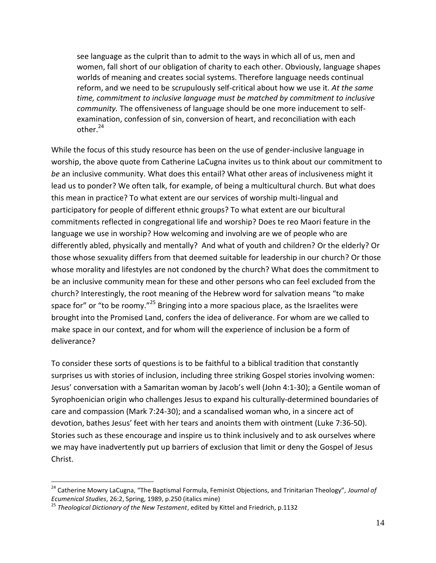see language as the culprit than to admit to the ways in which all of us, men and women, fall short of our obligation of charity to each other. Obviously, language shapes worlds of meaning and creates social systems. Therefore language needs continual reform, and we need to be scrupulously self-critical about how we use it. *At the same time, commitment to inclusive language must be matched by commitment to inclusive community.* The offensiveness of language should be one more inducement to selfexamination, confession of sin, conversion of heart, and reconciliation with each other. $24$ 

While the focus of this study resource has been on the use of gender-inclusive language in worship, the above quote from Catherine LaCugna invites us to think about our commitment to *be* an inclusive community. What does this entail? What other areas of inclusiveness might it lead us to ponder? We often talk, for example, of being a multicultural church. But what does this mean in practice? To what extent are our services of worship multi-lingual and participatory for people of different ethnic groups? To what extent are our bicultural commitments reflected in congregational life and worship? Does te reo Maori feature in the language we use in worship? How welcoming and involving are we of people who are differently abled, physically and mentally? And what of youth and children? Or the elderly? Or those whose sexuality differs from that deemed suitable for leadership in our church? Or those whose morality and lifestyles are not condoned by the church? What does the commitment to be an inclusive community mean for these and other persons who can feel excluded from the church? Interestingly, the root meaning of the Hebrew word for salvation means "to make space for" or "to be roomy."<sup>25</sup> Bringing into a more spacious place, as the Israelites were brought into the Promised Land, confers the idea of deliverance. For whom are we called to make space in our context, and for whom will the experience of inclusion be a form of deliverance?

To consider these sorts of questions is to be faithful to a biblical tradition that constantly surprises us with stories of inclusion, including three striking Gospel stories involving women: Jesus' conversation with a Samaritan woman by Jacob's well (John 4:1-30); a Gentile woman of Syrophoenician origin who challenges Jesus to expand his culturally-determined boundaries of care and compassion (Mark 7:24-30); and a scandalised woman who, in a sincere act of devotion, bathes Jesus' feet with her tears and anoints them with ointment (Luke 7:36-50). Stories such as these encourage and inspire us to think inclusively and to ask ourselves where we may have inadvertently put up barriers of exclusion that limit or deny the Gospel of Jesus Christ.

<sup>24</sup> Catherine Mowry LaCugna, "The Baptismal Formula, Feminist Objections, and Trinitarian Theology", *Journal of Ecumenical Studies*, 26:2, Spring, 1989, p.250 (italics mine)

<sup>25</sup> *Theological Dictionary of the New Testament*, edited by Kittel and Friedrich, p.1132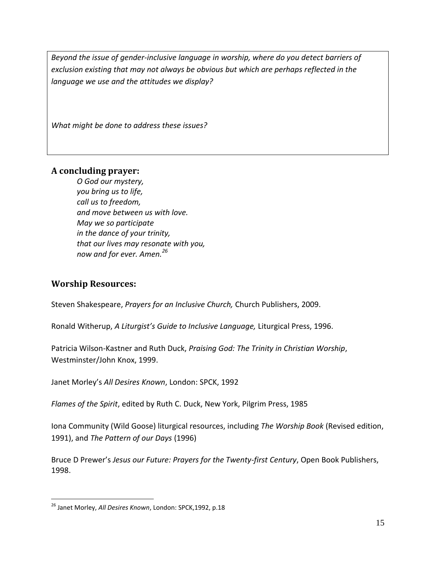*Beyond the issue of gender-inclusive language in worship, where do you detect barriers of exclusion existing that may not always be obvious but which are perhaps reflected in the language we use and the attitudes we display?*

*What might be done to address these issues?*

#### **A concluding prayer:**

*O God our mystery, you bring us to life, call us to freedom, and move between us with love. May we so participate in the dance of your trinity, that our lives may resonate with you, now and for ever. Amen.<sup>26</sup>*

#### **Worship Resources:**

 $\overline{a}$ 

Steven Shakespeare, *Prayers for an Inclusive Church,* Church Publishers, 2009.

Ronald Witherup, *A Liturgist's Guide to Inclusive Language,* Liturgical Press, 1996.

Patricia Wilson-Kastner and Ruth Duck, *Praising God: The Trinity in Christian Worship*, Westminster/John Knox, 1999.

Janet Morley's *All Desires Known*, London: SPCK, 1992

*Flames of the Spirit*, edited by Ruth C. Duck, New York, Pilgrim Press, 1985

Iona Community (Wild Goose) liturgical resources, including *The Worship Book* (Revised edition, 1991), and *The Pattern of our Days* (1996)

Bruce D Prewer's *Jesus our Future: Prayers for the Twenty-first Century*, Open Book Publishers, 1998.

<sup>26</sup> Janet Morley, *All Desires Known*, London: SPCK,1992, p.18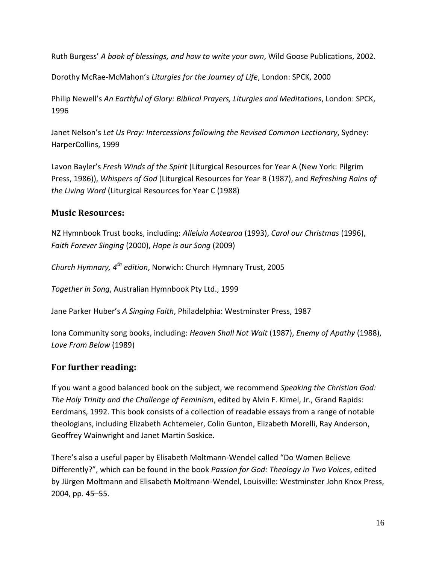Ruth Burgess' *A book of blessings, and how to write your own*, Wild Goose Publications, 2002.

Dorothy McRae-McMahon's *Liturgies for the Journey of Life*, London: SPCK, 2000

Philip Newell's *An Earthful of Glory: Biblical Prayers, Liturgies and Meditations*, London: SPCK, 1996

Janet Nelson's *Let Us Pray: Intercessions following the Revised Common Lectionary*, Sydney: HarperCollins, 1999

Lavon Bayler's *Fresh Winds of the Spirit* (Liturgical Resources for Year A (New York: Pilgrim Press, 1986)), *Whispers of God* (Liturgical Resources for Year B (1987), and *Refreshing Rains of the Living Word* (Liturgical Resources for Year C (1988)

## **Music Resources:**

NZ Hymnbook Trust books, including: *Alleluia Aotearoa* (1993), *Carol our Christmas* (1996), *Faith Forever Singing* (2000), *Hope is our Song* (2009)

*Church Hymnary, 4th edition*, Norwich: Church Hymnary Trust, 2005

*Together in Song*, Australian Hymnbook Pty Ltd., 1999

Jane Parker Huber's *A Singing Faith*, Philadelphia: Westminster Press, 1987

Iona Community song books, including: *Heaven Shall Not Wait* (1987), *Enemy of Apathy* (1988), *Love From Below* (1989)

## **For further reading:**

If you want a good balanced book on the subject, we recommend *Speaking the Christian God: The Holy Trinity and the Challenge of Feminism*, edited by Alvin F. Kimel, Jr., Grand Rapids: Eerdmans, 1992. This book consists of a collection of readable essays from a range of notable theologians, including Elizabeth Achtemeier, Colin Gunton, Elizabeth Morelli, Ray Anderson, Geoffrey Wainwright and Janet Martin Soskice.

There's also a useful paper by Elisabeth Moltmann-Wendel called "Do Women Believe Differently?", which can be found in the book *Passion for God: Theology in Two Voices*, edited by Jürgen Moltmann and Elisabeth Moltmann-Wendel, Louisville: Westminster John Knox Press, 2004, pp. 45–55.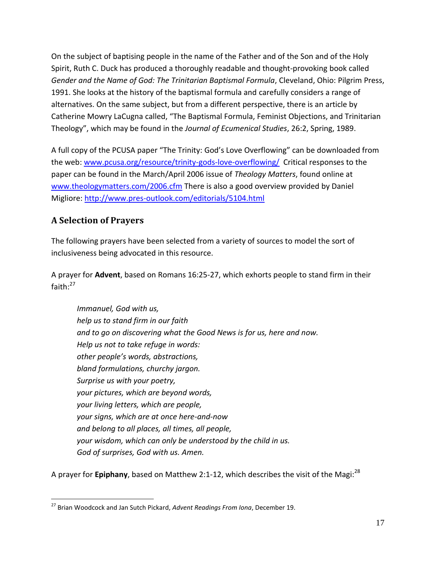On the subject of baptising people in the name of the Father and of the Son and of the Holy Spirit, Ruth C. Duck has produced a thoroughly readable and thought-provoking book called *Gender and the Name of God: The Trinitarian Baptismal Formula*, Cleveland, Ohio: Pilgrim Press, 1991. She looks at the history of the baptismal formula and carefully considers a range of alternatives. On the same subject, but from a different perspective, there is an article by Catherine Mowry LaCugna called, "The Baptismal Formula, Feminist Objections, and Trinitarian Theology", which may be found in the *Journal of Ecumenical Studies*, 26:2, Spring, 1989.

A full copy of the PCUSA paper "The Trinity: God's Love Overflowing" can be downloaded from the web: [www.pcusa.org/resource/trinity-gods-love-overflowing/](http://www.pcusa.org/resource/trinity-gods-love-overflowing/) Critical responses to the paper can be found in the March/April 2006 issue of *Theology Matters*, found online at [www.theologymatters.com/2006.cfm](http://www.theologymatters.com/2006.cfm) There is also a good overview provided by Daniel Migliore:<http://www.pres-outlook.com/editorials/5104.html>

# **A Selection of Prayers**

 $\overline{a}$ 

The following prayers have been selected from a variety of sources to model the sort of inclusiveness being advocated in this resource.

A prayer for **Advent**, based on Romans 16:25-27, which exhorts people to stand firm in their faith: $27$ 

*Immanuel, God with us, help us to stand firm in our faith and to go on discovering what the Good News is for us, here and now. Help us not to take refuge in words: other people's words, abstractions, bland formulations, churchy jargon. Surprise us with your poetry, your pictures, which are beyond words, your living letters, which are people, your signs, which are at once here-and-now and belong to all places, all times, all people, your wisdom, which can only be understood by the child in us. God of surprises, God with us. Amen.*

A prayer for **Epiphany**, based on Matthew 2:1-12, which describes the visit of the Magi:<sup>28</sup>

<sup>27</sup> Brian Woodcock and Jan Sutch Pickard, *Advent Readings From Iona*, December 19.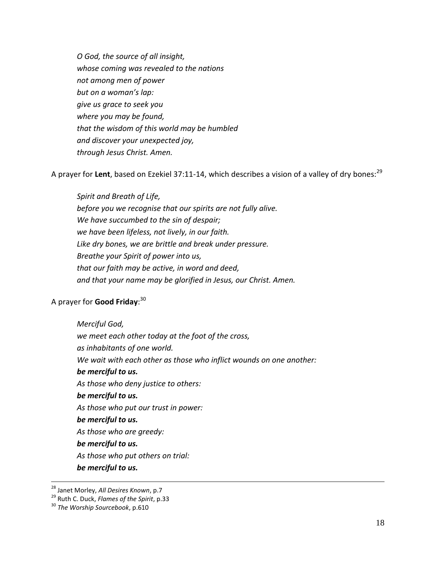*O God, the source of all insight, whose coming was revealed to the nations not among men of power but on a woman's lap: give us grace to seek you where you may be found, that the wisdom of this world may be humbled and discover your unexpected joy, through Jesus Christ. Amen.*

A prayer for Lent, based on Ezekiel 37:11-14, which describes a vision of a valley of dry bones:<sup>29</sup>

*Spirit and Breath of Life, before you we recognise that our spirits are not fully alive. We have succumbed to the sin of despair; we have been lifeless, not lively, in our faith. Like dry bones, we are brittle and break under pressure. Breathe your Spirit of power into us, that our faith may be active, in word and deed, and that your name may be glorified in Jesus, our Christ. Amen.*

## A prayer for **Good Friday**: 30

*Merciful God, we meet each other today at the foot of the cross, as inhabitants of one world. We wait with each other as those who inflict wounds on one another: be merciful to us. As those who deny justice to others: be merciful to us. As those who put our trust in power: be merciful to us. As those who are greedy: be merciful to us. As those who put others on trial: be merciful to us.*

 $\overline{a}$ <sup>28</sup> Janet Morley, *All Desires Known*, p.7

<sup>29</sup> Ruth C. Duck, *Flames of the Spirit*, p.33

<sup>30</sup> *The Worship Sourcebook*, p.610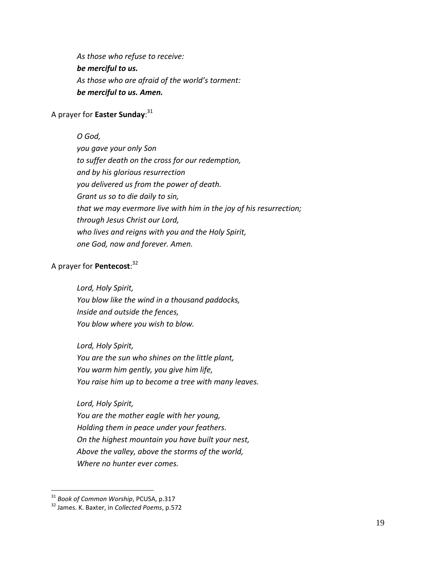*As those who refuse to receive: be merciful to us. As those who are afraid of the world's torment: be merciful to us. Amen.*

## A prayer for **Easter Sunday**: 31

#### *O God,*

*you gave your only Son to suffer death on the cross for our redemption, and by his glorious resurrection you delivered us from the power of death. Grant us so to die daily to sin, that we may evermore live with him in the joy of his resurrection; through Jesus Christ our Lord, who lives and reigns with you and the Holy Spirit, one God, now and forever. Amen.*

## A prayer for **Pentecost**: 32

*Lord, Holy Spirit,*

*You blow like the wind in a thousand paddocks, Inside and outside the fences, You blow where you wish to blow.*

*Lord, Holy Spirit, You are the sun who shines on the little plant, You warm him gently, you give him life, You raise him up to become a tree with many leaves.*

*Lord, Holy Spirit,*

*You are the mother eagle with her young, Holding them in peace under your feathers. On the highest mountain you have built your nest, Above the valley, above the storms of the world, Where no hunter ever comes.*

<sup>31</sup> *Book of Common Worship*, PCUSA, p.317

<sup>32</sup> James. K. Baxter, in *Collected Poems*, p.572